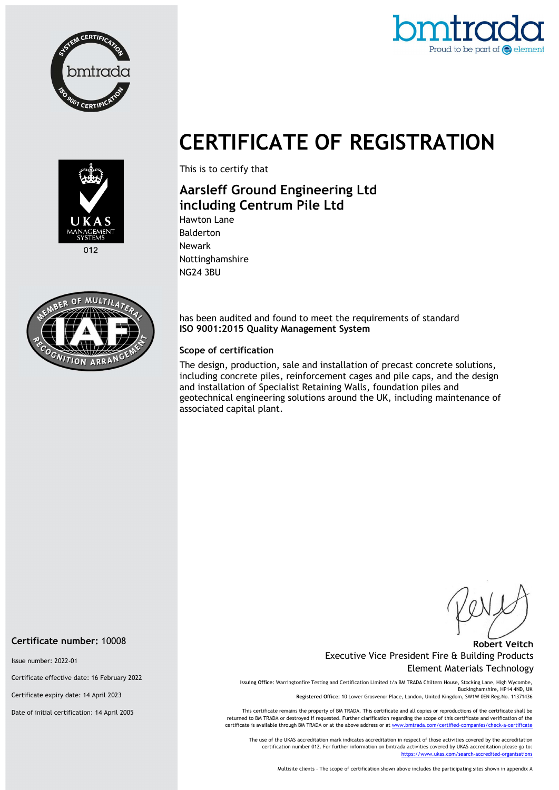



# CERTIFICATE OF REGISTRATION



This is to certify that

## Aarsleff Ground Engineering Ltd including Centrum Pile Ltd Hawton Lane

Balderton Newark Nottinghamshire NG24 3BU



has been audited and found to meet the requirements of standard ISO 9001:2015 Quality Management System

#### Scope of certification

The design, production, sale and installation of precast concrete solutions, including concrete piles, reinforcement cages and pile caps, and the design and installation of Specialist Retaining Walls, foundation piles and geotechnical engineering solutions around the UK, including maintenance of associated capital plant.

#### Robert Veitch Executive Vice President Fire & Building Products Element Materials Technology

Issuing Office: Warringtonfire Testing and Certification Limited t/a BM TRADA Chiltern House, Stocking Lane, High Wycombe, Buckinghamshire, HP14 4ND, UK Registered Office: 10 Lower Grosvenor Place, London, United Kingdom, SW1W 0EN Reg.No. 11371436

This certificate remains the property of BM TRADA. This certificate and all copies or reproductions of the certificate shall be returned to BM TRADA or destroyed if requested. Further clarification regarding the scope of this certificate and verification of the certificate is available through BM TRADA or at the above address or at www.bmtrada.com/certified-companies/check-a-certificate

The use of the UKAS accreditation mark indicates accreditation in respect of those activities covered by the accreditation certification number 012. For further information on bmtrada activities covered by UKAS accreditation please go to: https://www.ukas.com/search-accredited-organisations

Multisite clients – The scope of certification shown above includes the participating sites shown in appendix A

Certificate number: 10008

Issue number: 2022-01

Certificate effective date: 16 February 2022

Certificate expiry date: 14 April 2023

Date of initial certification: 14 April 2005